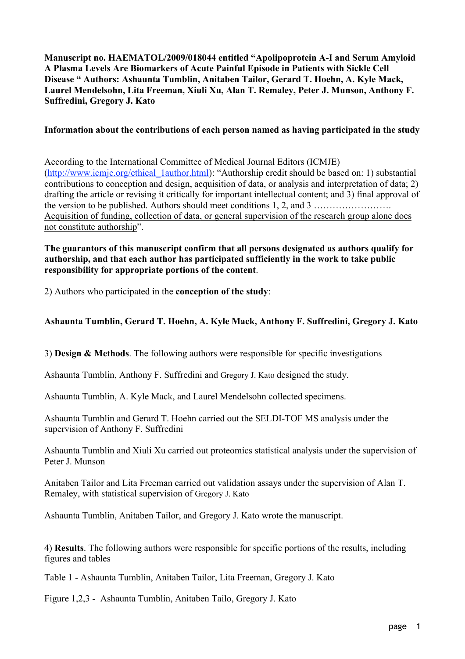Manuscript no. HAEMATOL/2009/018044 entitled "Apolipoprotein A-I and Serum Amyloid A Plasma Levels Are Biomarkers of Acute Painful Episode in Patients with Sickle Cell Disease " Authors: Ashaunta Tumblin, Anitaben Tailor, Gerard T. Hoehn, A. Kyle Mack, Laurel Mendelsohn, Lita Freeman, Xiuli Xu, Alan T. Remaley, Peter J. Munson, Anthony F. Suffredini, Gregory J. Kato

#### Information about the contributions of each person named as having participated in the study

According to the International Committee of Medical Journal Editors (ICMJE) (http://www.icmje.org/ethical\_1author.html): "Authorship credit should be based on: 1) substantial contributions to conception and design, acquisition of data, or analysis and interpretation of data; 2) drafting the article or revising it critically for important intellectual content; and 3) final approval of the version to be published. Authors should meet conditions 1, 2, and 3 ……………………. Acquisition of funding, collection of data, or general supervision of the research group alone does not constitute authorship".

#### The guarantors of this manuscript confirm that all persons designated as authors qualify for authorship, and that each author has participated sufficiently in the work to take public responsibility for appropriate portions of the content.

2) Authors who participated in the conception of the study:

## Ashaunta Tumblin, Gerard T. Hoehn, A. Kyle Mack, Anthony F. Suffredini, Gregory J. Kato

3) Design & Methods. The following authors were responsible for specific investigations

Ashaunta Tumblin, Anthony F. Suffredini and Gregory J. Kato designed the study.

Ashaunta Tumblin, A. Kyle Mack, and Laurel Mendelsohn collected specimens.

Ashaunta Tumblin and Gerard T. Hoehn carried out the SELDI-TOF MS analysis under the supervision of Anthony F. Suffredini

Ashaunta Tumblin and Xiuli Xu carried out proteomics statistical analysis under the supervision of Peter J. Munson

Anitaben Tailor and Lita Freeman carried out validation assays under the supervision of Alan T. Remaley, with statistical supervision of Gregory J. Kato

Ashaunta Tumblin, Anitaben Tailor, and Gregory J. Kato wrote the manuscript.

4) Results. The following authors were responsible for specific portions of the results, including figures and tables

Table 1 - Ashaunta Tumblin, Anitaben Tailor, Lita Freeman, Gregory J. Kato

Figure 1,2,3 - Ashaunta Tumblin, Anitaben Tailo, Gregory J. Kato